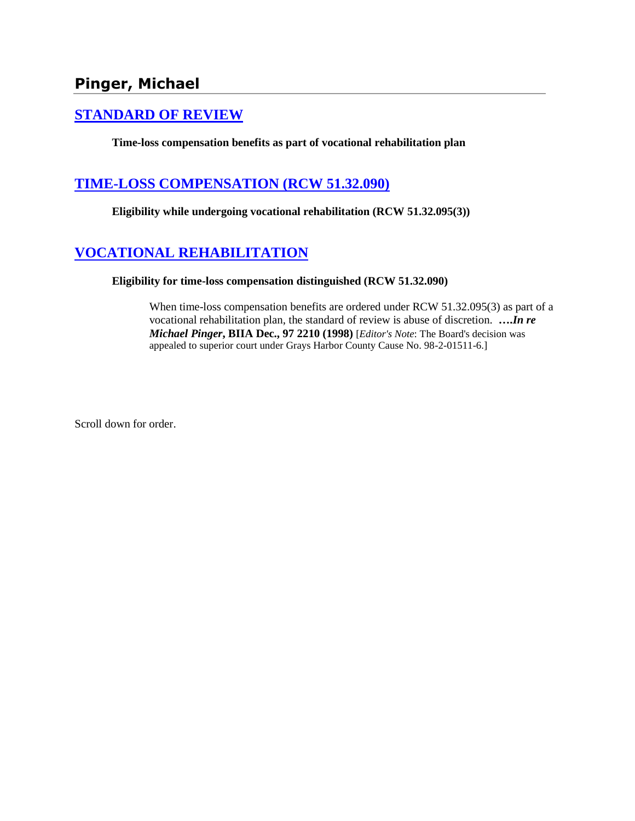## **[STANDARD OF REVIEW](http://www.biia.wa.gov/SDSubjectIndex.html#STANDARD_OF_REVIEW)**

**Time-loss compensation benefits as part of vocational rehabilitation plan**

## **[TIME-LOSS COMPENSATION \(RCW 51.32.090\)](http://www.biia.wa.gov/SDSubjectIndex.html#TIME_LOSS_COMPENSATION)**

**Eligibility while undergoing vocational rehabilitation (RCW 51.32.095(3))**

# **[VOCATIONAL REHABILITATION](http://www.biia.wa.gov/SDSubjectIndex.html#VOCATIONAL_REHABILITATION)**

**Eligibility for time-loss compensation distinguished (RCW 51.32.090)**

When time-loss compensation benefits are ordered under RCW 51.32.095(3) as part of a vocational rehabilitation plan, the standard of review is abuse of discretion. **….***In re Michael Pinger***, BIIA Dec., 97 2210 (1998)** [*Editor's Note*: The Board's decision was appealed to superior court under Grays Harbor County Cause No. 98-2-01511-6.]

Scroll down for order.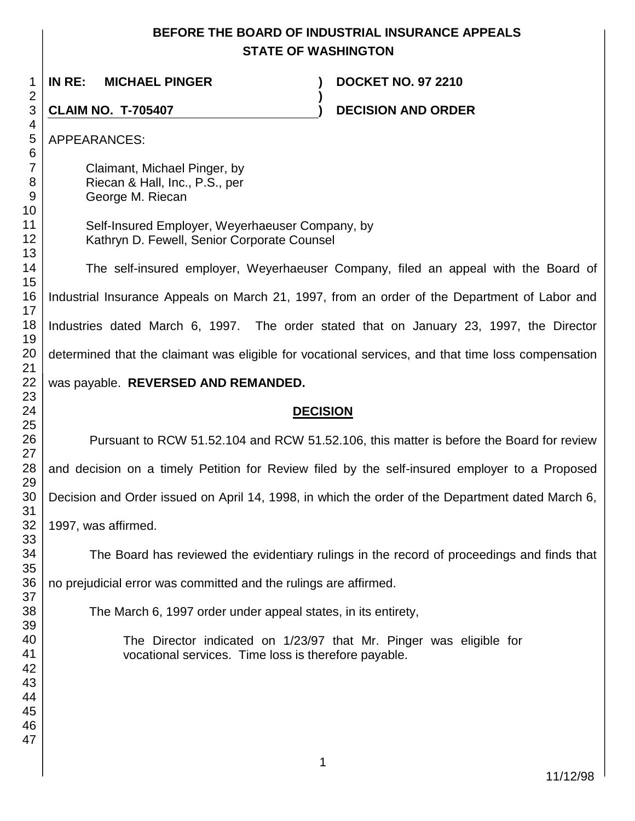## **BEFORE THE BOARD OF INDUSTRIAL INSURANCE APPEALS STATE OF WASHINGTON**

**)**

 **IN RE: MICHAEL PINGER ) DOCKET NO. 97 2210**

**CLAIM NO. T-705407 ) DECISION AND ORDER** 

APPEARANCES:

Claimant, Michael Pinger, by Riecan & Hall, Inc., P.S., per George M. Riecan

Self-Insured Employer, Weyerhaeuser Company, by Kathryn D. Fewell, Senior Corporate Counsel

The self-insured employer, Weyerhaeuser Company, filed an appeal with the Board of Industrial Insurance Appeals on March 21, 1997, from an order of the Department of Labor and Industries dated March 6, 1997. The order stated that on January 23, 1997, the Director determined that the claimant was eligible for vocational services, and that time loss compensation

# was payable. **REVERSED AND REMANDED.**

## **DECISION**

Pursuant to RCW 51.52.104 and RCW 51.52.106, this matter is before the Board for review and decision on a timely Petition for Review filed by the self-insured employer to a Proposed Decision and Order issued on April 14, 1998, in which the order of the Department dated March 6, 1997, was affirmed.

The Board has reviewed the evidentiary rulings in the record of proceedings and finds that

no prejudicial error was committed and the rulings are affirmed.

The March 6, 1997 order under appeal states, in its entirety,

The Director indicated on 1/23/97 that Mr. Pinger was eligible for vocational services. Time loss is therefore payable.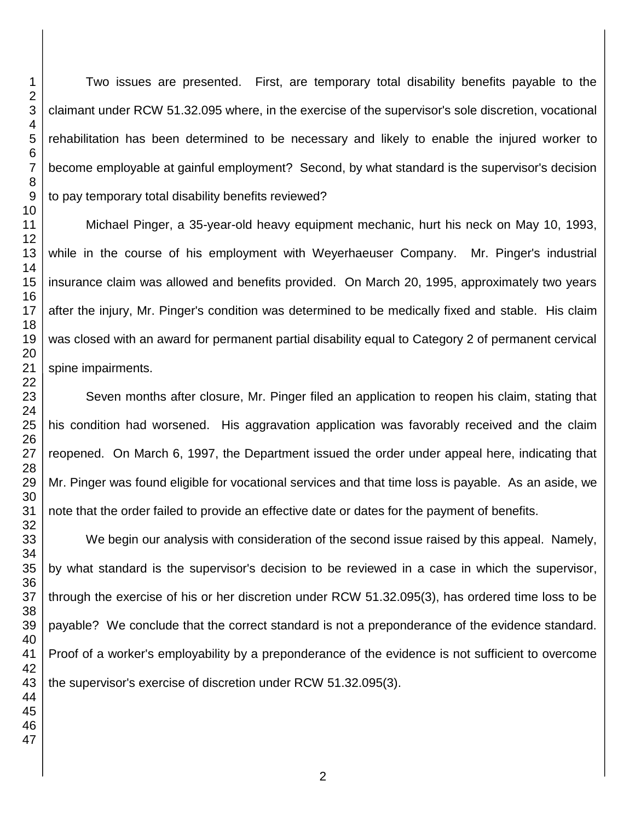Two issues are presented. First, are temporary total disability benefits payable to the claimant under RCW 51.32.095 where, in the exercise of the supervisor's sole discretion, vocational rehabilitation has been determined to be necessary and likely to enable the injured worker to become employable at gainful employment? Second, by what standard is the supervisor's decision to pay temporary total disability benefits reviewed?

Michael Pinger, a 35-year-old heavy equipment mechanic, hurt his neck on May 10, 1993, while in the course of his employment with Weyerhaeuser Company. Mr. Pinger's industrial insurance claim was allowed and benefits provided. On March 20, 1995, approximately two years after the injury, Mr. Pinger's condition was determined to be medically fixed and stable. His claim was closed with an award for permanent partial disability equal to Category 2 of permanent cervical spine impairments.

Seven months after closure, Mr. Pinger filed an application to reopen his claim, stating that his condition had worsened. His aggravation application was favorably received and the claim reopened. On March 6, 1997, the Department issued the order under appeal here, indicating that Mr. Pinger was found eligible for vocational services and that time loss is payable. As an aside, we note that the order failed to provide an effective date or dates for the payment of benefits.

We begin our analysis with consideration of the second issue raised by this appeal. Namely, by what standard is the supervisor's decision to be reviewed in a case in which the supervisor, through the exercise of his or her discretion under RCW 51.32.095(3), has ordered time loss to be payable? We conclude that the correct standard is not a preponderance of the evidence standard. Proof of a worker's employability by a preponderance of the evidence is not sufficient to overcome the supervisor's exercise of discretion under RCW 51.32.095(3).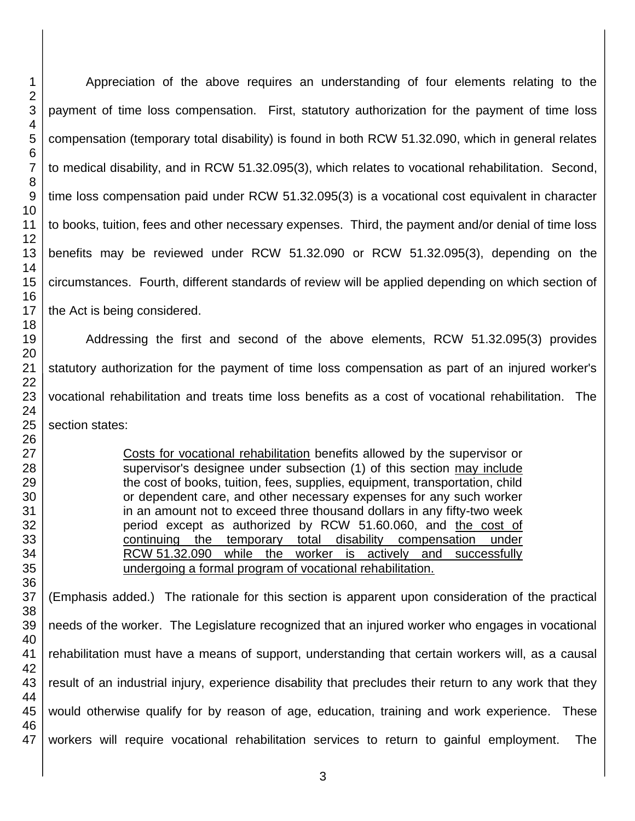Appreciation of the above requires an understanding of four elements relating to the payment of time loss compensation. First, statutory authorization for the payment of time loss compensation (temporary total disability) is found in both RCW 51.32.090, which in general relates to medical disability, and in RCW 51.32.095(3), which relates to vocational rehabilitation. Second, time loss compensation paid under RCW 51.32.095(3) is a vocational cost equivalent in character to books, tuition, fees and other necessary expenses. Third, the payment and/or denial of time loss benefits may be reviewed under RCW 51.32.090 or RCW 51.32.095(3), depending on the circumstances. Fourth, different standards of review will be applied depending on which section of the Act is being considered.

Addressing the first and second of the above elements, RCW 51.32.095(3) provides statutory authorization for the payment of time loss compensation as part of an injured worker's vocational rehabilitation and treats time loss benefits as a cost of vocational rehabilitation. The section states:

> Costs for vocational rehabilitation benefits allowed by the supervisor or supervisor's designee under subsection (1) of this section may include the cost of books, tuition, fees, supplies, equipment, transportation, child or dependent care, and other necessary expenses for any such worker in an amount not to exceed three thousand dollars in any fifty-two week period except as authorized by RCW 51.60.060, and the cost of continuing the temporary total disability compensation under RCW 51.32.090 while the worker is actively and successfully undergoing a formal program of vocational rehabilitation.

(Emphasis added.) The rationale for this section is apparent upon consideration of the practical needs of the worker. The Legislature recognized that an injured worker who engages in vocational rehabilitation must have a means of support, understanding that certain workers will, as a causal result of an industrial injury, experience disability that precludes their return to any work that they would otherwise qualify for by reason of age, education, training and work experience. These workers will require vocational rehabilitation services to return to gainful employment. The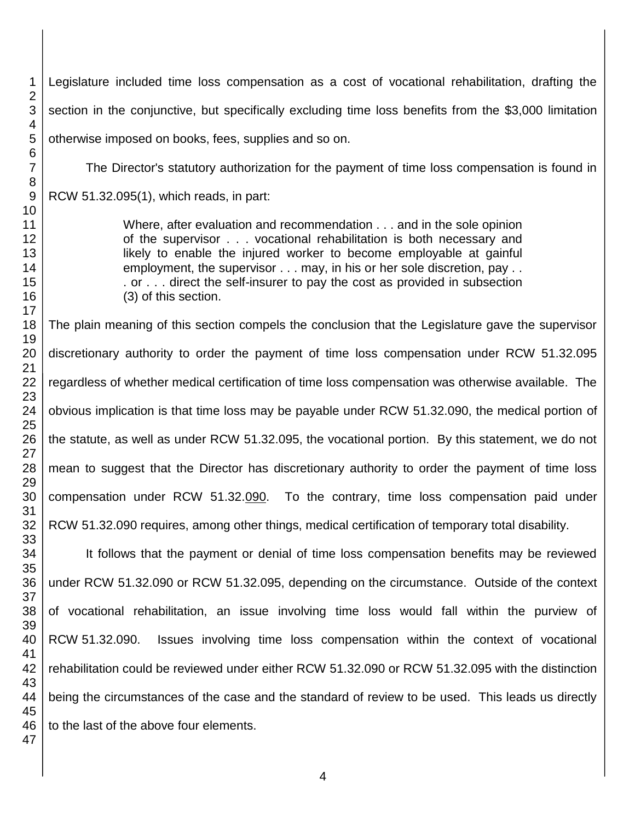Legislature included time loss compensation as a cost of vocational rehabilitation, drafting the section in the conjunctive, but specifically excluding time loss benefits from the \$3,000 limitation otherwise imposed on books, fees, supplies and so on.

The Director's statutory authorization for the payment of time loss compensation is found in RCW 51.32.095(1), which reads, in part:

> Where, after evaluation and recommendation . . . and in the sole opinion of the supervisor . . . vocational rehabilitation is both necessary and likely to enable the injured worker to become employable at gainful employment, the supervisor . . . may, in his or her sole discretion, pay . . . or . . . direct the self-insurer to pay the cost as provided in subsection (3) of this section.

The plain meaning of this section compels the conclusion that the Legislature gave the supervisor discretionary authority to order the payment of time loss compensation under RCW 51.32.095 regardless of whether medical certification of time loss compensation was otherwise available. The obvious implication is that time loss may be payable under RCW 51.32.090, the medical portion of the statute, as well as under RCW 51.32.095, the vocational portion. By this statement, we do not mean to suggest that the Director has discretionary authority to order the payment of time loss compensation under RCW 51.32.090. To the contrary, time loss compensation paid under RCW 51.32.090 requires, among other things, medical certification of temporary total disability.

It follows that the payment or denial of time loss compensation benefits may be reviewed under RCW 51.32.090 or RCW 51.32.095, depending on the circumstance. Outside of the context of vocational rehabilitation, an issue involving time loss would fall within the purview of RCW 51.32.090. Issues involving time loss compensation within the context of vocational rehabilitation could be reviewed under either RCW 51.32.090 or RCW 51.32.095 with the distinction being the circumstances of the case and the standard of review to be used. This leads us directly to the last of the above four elements.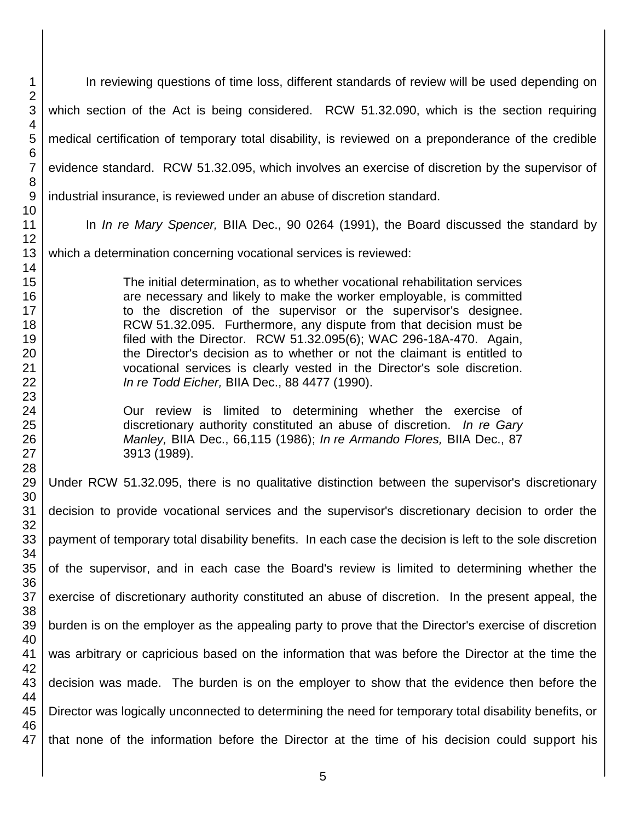| $\mathbf{1}$<br>$\overline{2}$                           | In reviewing questions of time loss, different standards of review will be used depending on                                                                                                                                                                                                                                                                                                                                                                                                                                                                                  |
|----------------------------------------------------------|-------------------------------------------------------------------------------------------------------------------------------------------------------------------------------------------------------------------------------------------------------------------------------------------------------------------------------------------------------------------------------------------------------------------------------------------------------------------------------------------------------------------------------------------------------------------------------|
| $\mathbf{3}$<br>4                                        | which section of the Act is being considered. RCW 51.32.090, which is the section requiring                                                                                                                                                                                                                                                                                                                                                                                                                                                                                   |
| 5                                                        | medical certification of temporary total disability, is reviewed on a preponderance of the credible                                                                                                                                                                                                                                                                                                                                                                                                                                                                           |
| $6\phantom{1}6$<br>$\overline{7}$                        | evidence standard. RCW 51.32.095, which involves an exercise of discretion by the supervisor of                                                                                                                                                                                                                                                                                                                                                                                                                                                                               |
| 8<br>9                                                   | industrial insurance, is reviewed under an abuse of discretion standard.                                                                                                                                                                                                                                                                                                                                                                                                                                                                                                      |
| 10<br>11                                                 | In In re Mary Spencer, BIIA Dec., 90 0264 (1991), the Board discussed the standard by                                                                                                                                                                                                                                                                                                                                                                                                                                                                                         |
| 12<br>13                                                 | which a determination concerning vocational services is reviewed:                                                                                                                                                                                                                                                                                                                                                                                                                                                                                                             |
| 14<br>15<br>16<br>17<br>18<br>19<br>20<br>21<br>22<br>23 | The initial determination, as to whether vocational rehabilitation services<br>are necessary and likely to make the worker employable, is committed<br>to the discretion of the supervisor or the supervisor's designee.<br>RCW 51.32.095. Furthermore, any dispute from that decision must be<br>filed with the Director. RCW 51.32.095(6); WAC 296-18A-470. Again,<br>the Director's decision as to whether or not the claimant is entitled to<br>vocational services is clearly vested in the Director's sole discretion.<br>In re Todd Eicher, BIIA Dec., 88 4477 (1990). |
| 24<br>25<br>26<br>27                                     | Our review is limited to determining whether the exercise of<br>discretionary authority constituted an abuse of discretion. In re Gary<br>Manley, BIIA Dec., 66,115 (1986); In re Armando Flores, BIIA Dec., 87<br>3913 (1989).                                                                                                                                                                                                                                                                                                                                               |
| 28<br>29<br>30                                           | Under RCW 51.32.095, there is no qualitative distinction between the supervisor's discretionary                                                                                                                                                                                                                                                                                                                                                                                                                                                                               |
| 31<br>32                                                 | decision to provide vocational services and the supervisor's discretionary decision to order the                                                                                                                                                                                                                                                                                                                                                                                                                                                                              |
| 33<br>34                                                 | payment of temporary total disability benefits. In each case the decision is left to the sole discretion                                                                                                                                                                                                                                                                                                                                                                                                                                                                      |
| 35<br>36                                                 | of the supervisor, and in each case the Board's review is limited to determining whether the                                                                                                                                                                                                                                                                                                                                                                                                                                                                                  |
| 37<br>38                                                 | exercise of discretionary authority constituted an abuse of discretion. In the present appeal, the                                                                                                                                                                                                                                                                                                                                                                                                                                                                            |
| 39<br>40                                                 | burden is on the employer as the appealing party to prove that the Director's exercise of discretion                                                                                                                                                                                                                                                                                                                                                                                                                                                                          |
| 41                                                       | was arbitrary or capricious based on the information that was before the Director at the time the                                                                                                                                                                                                                                                                                                                                                                                                                                                                             |
| 42<br>43<br>44                                           | decision was made. The burden is on the employer to show that the evidence then before the                                                                                                                                                                                                                                                                                                                                                                                                                                                                                    |
| 45                                                       | Director was logically unconnected to determining the need for temporary total disability benefits, or                                                                                                                                                                                                                                                                                                                                                                                                                                                                        |
| 46<br>47                                                 | that none of the information before the Director at the time of his decision could support his                                                                                                                                                                                                                                                                                                                                                                                                                                                                                |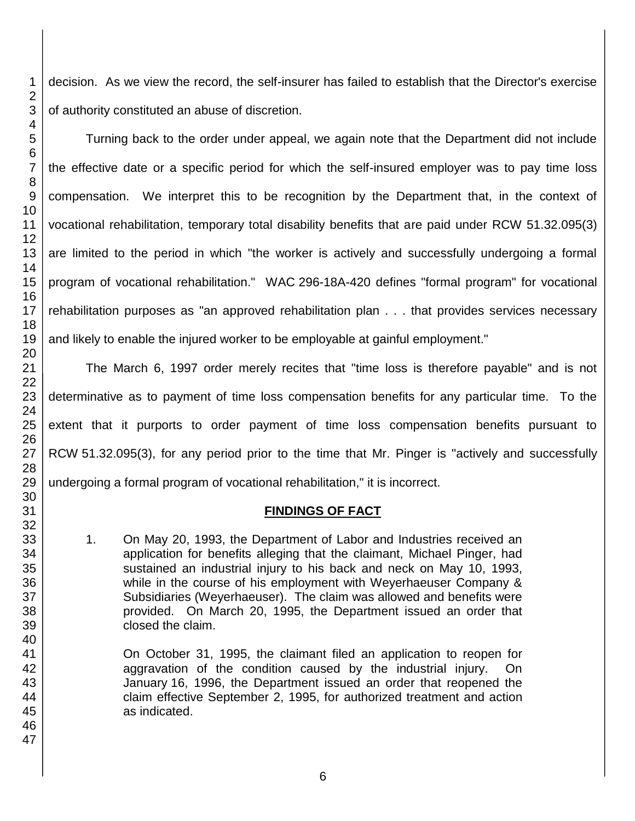decision. As we view the record, the self-insurer has failed to establish that the Director's exercise of authority constituted an abuse of discretion.

Turning back to the order under appeal, we again note that the Department did not include the effective date or a specific period for which the self-insured employer was to pay time loss compensation. We interpret this to be recognition by the Department that, in the context of vocational rehabilitation, temporary total disability benefits that are paid under RCW 51.32.095(3) are limited to the period in which "the worker is actively and successfully undergoing a formal program of vocational rehabilitation." WAC 296-18A-420 defines "formal program" for vocational rehabilitation purposes as "an approved rehabilitation plan . . . that provides services necessary and likely to enable the injured worker to be employable at gainful employment."

The March 6, 1997 order merely recites that "time loss is therefore payable" and is not determinative as to payment of time loss compensation benefits for any particular time. To the extent that it purports to order payment of time loss compensation benefits pursuant to RCW 51.32.095(3), for any period prior to the time that Mr. Pinger is "actively and successfully undergoing a formal program of vocational rehabilitation," it is incorrect.

#### **FINDINGS OF FACT**

1. On May 20, 1993, the Department of Labor and Industries received an application for benefits alleging that the claimant, Michael Pinger, had sustained an industrial injury to his back and neck on May 10, 1993, while in the course of his employment with Weyerhaeuser Company & Subsidiaries (Weyerhaeuser). The claim was allowed and benefits were provided. On March 20, 1995, the Department issued an order that closed the claim.

On October 31, 1995, the claimant filed an application to reopen for aggravation of the condition caused by the industrial injury. On January 16, 1996, the Department issued an order that reopened the claim effective September 2, 1995, for authorized treatment and action as indicated.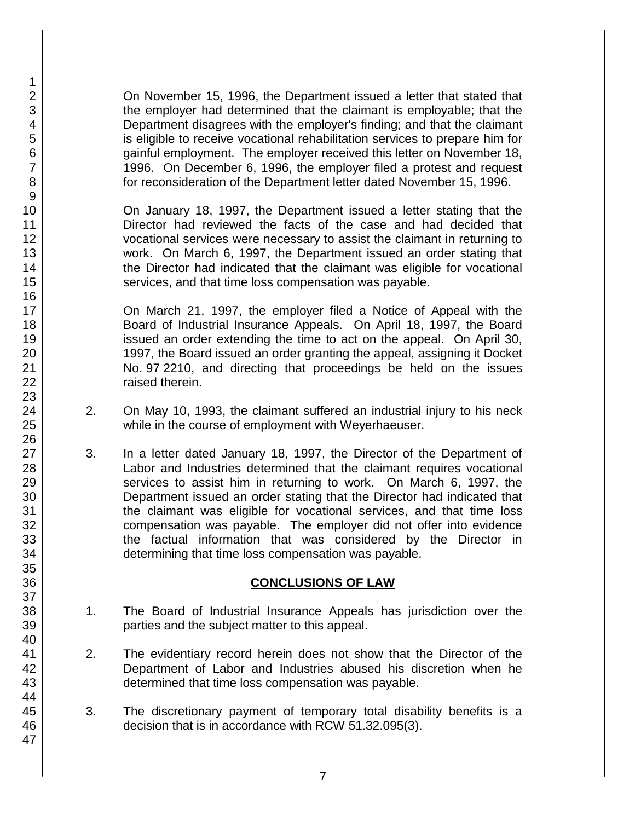On November 15, 1996, the Department issued a letter that stated that the employer had determined that the claimant is employable; that the Department disagrees with the employer's finding; and that the claimant is eligible to receive vocational rehabilitation services to prepare him for gainful employment. The employer received this letter on November 18, 1996. On December 6, 1996, the employer filed a protest and request for reconsideration of the Department letter dated November 15, 1996.

On January 18, 1997, the Department issued a letter stating that the Director had reviewed the facts of the case and had decided that vocational services were necessary to assist the claimant in returning to work. On March 6, 1997, the Department issued an order stating that the Director had indicated that the claimant was eligible for vocational services, and that time loss compensation was payable.

On March 21, 1997, the employer filed a Notice of Appeal with the Board of Industrial Insurance Appeals. On April 18, 1997, the Board issued an order extending the time to act on the appeal. On April 30, 1997, the Board issued an order granting the appeal, assigning it Docket No. 97 2210, and directing that proceedings be held on the issues raised therein.

- 2. On May 10, 1993, the claimant suffered an industrial injury to his neck while in the course of employment with Weyerhaeuser.
- 3. In a letter dated January 18, 1997, the Director of the Department of Labor and Industries determined that the claimant requires vocational services to assist him in returning to work. On March 6, 1997, the Department issued an order stating that the Director had indicated that the claimant was eligible for vocational services, and that time loss compensation was payable. The employer did not offer into evidence the factual information that was considered by the Director in determining that time loss compensation was payable.

#### **CONCLUSIONS OF LAW**

- 1. The Board of Industrial Insurance Appeals has jurisdiction over the parties and the subject matter to this appeal.
- 2. The evidentiary record herein does not show that the Director of the Department of Labor and Industries abused his discretion when he determined that time loss compensation was payable.
- 3. The discretionary payment of temporary total disability benefits is a decision that is in accordance with RCW 51.32.095(3).